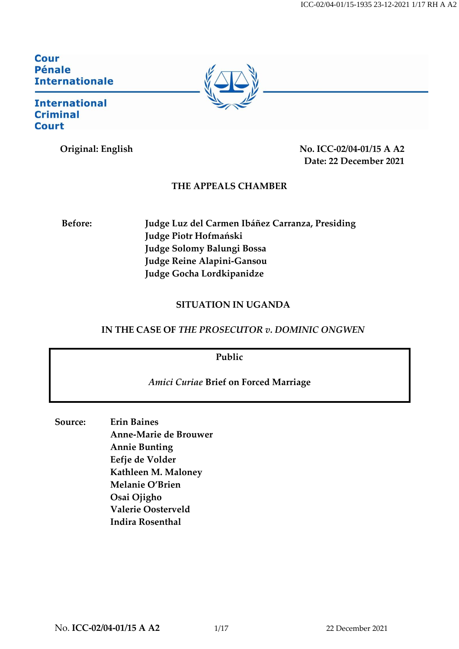ICC-02/04-01/15-1935 23-12-2021 1/17 RH A A2

Cour **Pénale Internationale** 

#### **International Criminal Court**



#### **THE APPEALS CHAMBER**

**Before: Judge Luz del Carmen Ibáñez Carranza, Presiding Judge Piotr Hofmański Judge Solomy Balungi Bossa Judge Reine Alapini-Gansou Judge Gocha Lordkipanidze**

#### **SITUATION IN UGANDA**

### **IN THE CASE OF** *THE PROSECUTOR v. DOMINIC ONGWEN*

**Public**

#### *Amici Curiae* **Brief on Forced Marriage**

**Source: Erin Baines Anne-Marie de Brouwer Annie Bunting Eefje de Volder Kathleen M. Maloney Melanie O'Brien Osai Ojigho Valerie Oosterveld Indira Rosenthal**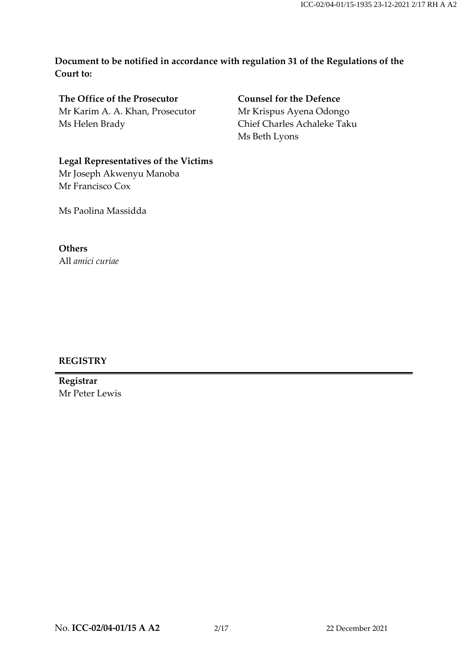**Document to be notified in accordance with regulation 31 of the Regulations of the Court to:**

**The Office of the Prosecutor** Mr Karim A. A. Khan, Prosecutor Ms Helen Brady

**Counsel for the Defence** Mr Krispus Ayena Odongo Chief Charles Achaleke Taku Ms Beth Lyons

# **Legal Representatives of the Victims**

Mr Joseph Akwenyu Manoba Mr Francisco Cox

Ms Paolina Massidda

#### **Others**

All *amici curiae*

#### **REGISTRY**

**Registrar** Mr Peter Lewis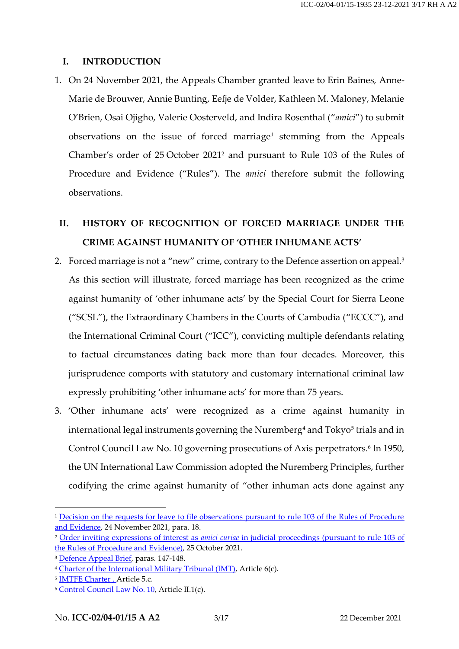#### **I. INTRODUCTION**

1. On 24 November 2021, the Appeals Chamber granted leave to Erin Baines, Anne-Marie de Brouwer, Annie Bunting, Eefje de Volder, Kathleen M. Maloney, Melanie O'Brien, Osai Ojigho, Valerie Oosterveld, and Indira Rosenthal ("*amici*") to submit observations on the issue of forced marriage<sup>1</sup> stemming from the Appeals Chamber's order of 25 October 2021<sup>2</sup> and pursuant to Rule 103 of the Rules of Procedure and Evidence ("Rules"). The *amici* therefore submit the following observations.

## **II. HISTORY OF RECOGNITION OF FORCED MARRIAGE UNDER THE CRIME AGAINST HUMANITY OF 'OTHER INHUMANE ACTS'**

- 2. Forced marriage is not a "new" crime, contrary to the Defence assertion on appeal. 3 As this section will illustrate, forced marriage has been recognized as the crime against humanity of 'other inhumane acts' by the Special Court for Sierra Leone ("SCSL"), the Extraordinary Chambers in the Courts of Cambodia ("ECCC"), and the International Criminal Court ("ICC"), convicting multiple defendants relating to factual circumstances dating back more than four decades. Moreover, this jurisprudence comports with statutory and customary international criminal law expressly prohibiting 'other inhumane acts' for more than 75 years.
- 3. 'Other inhumane acts' were recognized as a crime against humanity in international legal instruments governing the Nuremberg $^{\rm 4}$  and Tokyo $^{\rm 5}$  trials and in Control Council Law No. 10 governing prosecutions of Axis perpetrators. 6 In 1950, the UN International Law Commission adopted the Nuremberg Principles, further codifying the crime against humanity of "other inhuman acts done against any

<sup>&</sup>lt;sup>1</sup> Decision on the requests for leave to file observations pursuant to rule 103 of the Rules of Procedure [and Evidence,](https://www.icc-cpi.int/Pages/record.aspx?docNo=ICC-02/04-01/15-1914) 24 November 2021, para. 18.

<sup>2</sup> Order inviting expressions of interest as *amici curiae* [in judicial proceedings \(pursuant to rule 103 of](https://www.icc-cpi.int/Pages/record.aspx?docNo=ICC-02/04-01/15-1884)  [the Rules of Procedure and Evidence\),](https://www.icc-cpi.int/Pages/record.aspx?docNo=ICC-02/04-01/15-1884) 25 October 2021.

<sup>&</sup>lt;sup>3</sup> [Defence Appeal Brief,](https://www.legal-tools.org/doc/b16rvj/) paras. 147-148.

<sup>4</sup> [Charter of the International Military Tribunal \(IMT\),](https://www.legal-tools.org/doc/64ffdd/) Article 6(c).

<sup>5</sup> IMTFE [Charter ,](http://www.legal-tools.org/doc/a3c41c/) Article 5.c.

<sup>&</sup>lt;sup>6</sup> [Control Council Law No. 10,](http://www.legal-tools.org/doc/ffda62/) Article II.1(c).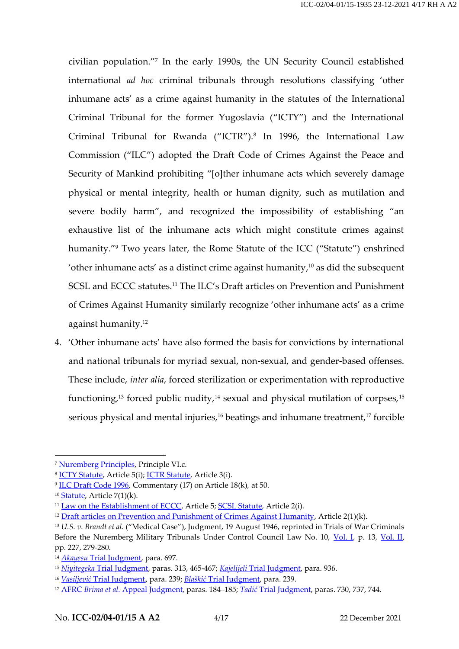civilian population." 7 In the early 1990s, the UN Security Council established international *ad hoc* criminal tribunals through resolutions classifying 'other inhumane acts' as a crime against humanity in the statutes of the International Criminal Tribunal for the former Yugoslavia ("ICTY") and the International Criminal Tribunal for Rwanda ("ICTR").<sup>8</sup> In 1996, the International Law Commission ("ILC") adopted the Draft Code of Crimes Against the Peace and Security of Mankind prohibiting "[o]ther inhumane acts which severely damage physical or mental integrity, health or human dignity, such as mutilation and severe bodily harm", and recognized the impossibility of establishing "an exhaustive list of the inhumane acts which might constitute crimes against humanity."<sup>9</sup> Two years later, the Rome Statute of the ICC ("Statute") enshrined 'other inhumane acts' as a distinct crime against humanity, <sup>10</sup> as did the subsequent SCSL and ECCC statutes.<sup>11</sup> The ILC's Draft articles on Prevention and Punishment of Crimes Against Humanity similarly recognize 'other inhumane acts' as a crime against humanity.<sup>12</sup>

4. 'Other inhumane acts' have also formed the basis for convictions by international and national tribunals for myriad sexual, non-sexual, and gender-based offenses. These include, *inter alia*, forced sterilization or experimentation with reproductive functioning, <sup>13</sup> forced public nudity,<sup>14</sup> sexual and physical mutilation of corpses,<sup>15</sup> serious physical and mental injuries,<sup>16</sup> beatings and inhumane treatment,<sup>17</sup> forcible

<sup>7</sup> [Nuremberg Principles,](https://www.legal-tools.org/doc/0d1ffe/) Principle VI.c.

<sup>8</sup> [ICTY Statute,](https://www.legal-tools.org/doc/b4f63b/) Article 5(i); [ICTR Statute,](http://www.legal-tools.org/doc/8732d6/) Article 3(i).

<sup>9</sup> [ILC Draft Code 1996,](http://www.legal-tools.org/doc/5e4532/) Commentary (17) on Article 18(k), at 50.

 $10$  [Statute,](http://www.legal-tools.org/doc/7b9af9/) Article  $7(1)(k)$ .

<sup>&</sup>lt;sup>11</sup> [Law on the Establishment of ECCC,](https://www.eccc.gov.kh/sites/default/files/legal-documents/KR_Law_as_amended_27_Oct_2004_Eng.pdf) Article 5; [SCSL Statute,](http://www.rscsl.org/Documents/scsl-statute.pdf) Article 2(i).

<sup>&</sup>lt;sup>12</sup> [Draft articles on Prevention and Punishment of Crimes Against Humanity,](https://legal.un.org/ilc/texts/instruments/english/draft_articles/7_7_2019.pdf) Article 2(1)(k).

<sup>13</sup> *U.S. v. Brandt et al*. ("Medical Case"), Judgment, 19 August 1946, reprinted in Trials of War Criminals Before the Nuremberg Military Tribunals Under Control Council Law No. 10, [Vol. I,](https://www.loc.gov/rr/frd/Military_Law/pdf/NT_war-criminals_Vol-I.pdf) p. 13, [Vol. II,](https://www.loc.gov/rr/frd/Military_Law/pdf/NT_war-criminals_Vol-II.pdf) pp. 227, 279-280.

<sup>&</sup>lt;sup>14</sup> *Akayesu* [Trial Judgment,](http://www.legal-tools.org/doc/b8d7bd/) para. 697.

<sup>15</sup> *Niyitegeka* [Trial Judgment,](http://www.legal-tools.org/doc/563f08/) paras. 313, 465-467; *Kajelijeli* [Trial Judgment,](http://www.legal-tools.org/doc/afa827/) para. 936.

<sup>16</sup> *Vasiljević* [Trial Judgment](http://www.legal-tools.org/doc/ab885f/), para. 239; *Blaškić* [Trial Judgment,](http://www.legal-tools.org/doc/e1ae55/) para. 239.

<sup>17</sup> AFRC *Brima et al.* [Appeal Judgment,](http://www.legal-tools.org/doc/4420ef/) paras. 184–185; *Tadić* [Trial Judgment,](http://www.legal-tools.org/doc/0a90ae/) paras. 730, 737, 744.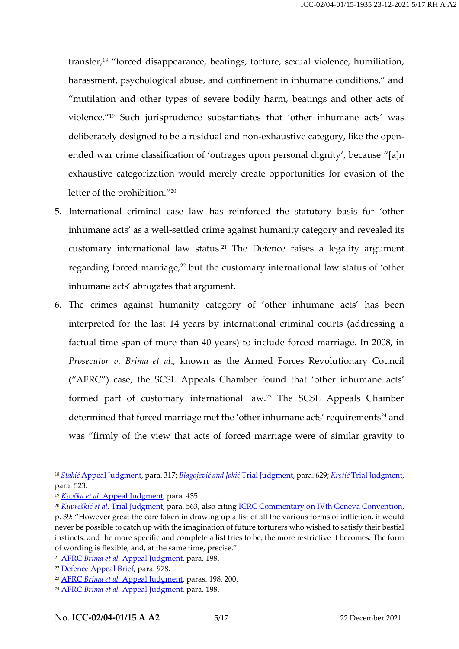transfer,<sup>18</sup> "forced disappearance, beatings, torture, sexual violence, humiliation, harassment, psychological abuse, and confinement in inhumane conditions," and "mutilation and other types of severe bodily harm, beatings and other acts of violence."<sup>19</sup> Such jurisprudence substantiates that 'other inhumane acts' was deliberately designed to be a residual and non-exhaustive category, like the openended war crime classification of 'outrages upon personal dignity', because "[a]n exhaustive categorization would merely create opportunities for evasion of the letter of the prohibition."<sup>20</sup>

- 5. International criminal case law has reinforced the statutory basis for 'other inhumane acts' as a well-settled crime against humanity category and revealed its customary international law status.<sup>21</sup> The Defence raises a legality argument regarding forced marriage, $22$  but the customary international law status of 'other inhumane acts' abrogates that argument.
- 6. The crimes against humanity category of 'other inhumane acts' has been interpreted for the last 14 years by international criminal courts (addressing a factual time span of more than 40 years) to include forced marriage. In 2008, in *Prosecutor v. Brima et al*., known as the Armed Forces Revolutionary Council ("AFRC") case, the SCSL Appeals Chamber found that 'other inhumane acts' formed part of customary international law.<sup>23</sup> The SCSL Appeals Chamber determined that forced marriage met the 'other inhumane acts' requirements<sup>24</sup> and was "firmly of the view that acts of forced marriage were of similar gravity to

<sup>18</sup>*Stakić* [Appeal Judgment,](http://www.legal-tools.org/doc/09f75f/) para. 317; *Blagojević and Jokić* [Trial Judgment,](http://www.legal-tools.org/doc/7483f2/) para. 629; *Krstić* [Trial Judgment,](http://www.legal-tools.org/doc/b8fef6/) para. 523.

<sup>19</sup> *Kvočka et al.* [Appeal Judgment,](http://www.legal-tools.org/doc/006011/) para. 435.

<sup>20</sup> *Kupreškić et al.* [Trial Judgment,](https://www.icty.org/x/cases/kupreskic/tjug/en/kup-tj000114e.pdf) para. 563, also citing [ICRC Commentary on IVth Geneva Convention,](https://ihl-databases.icrc.org/applic/ihl/ihl.nsf/Comment.xsp?action=openDocument&documentId=BE12C9954AC2AEC2C12563CD0042A25C) p. 39: "However great the care taken in drawing up a list of all the various forms of infliction, it would never be possible to catch up with the imagination of future torturers who wished to satisfy their bestial instincts: and the more specific and complete a list tries to be, the more restrictive it becomes. The form of wording is flexible, and, at the same time, precise."

<sup>21</sup> AFRC *Brima et al.* [Appeal Judgment,](http://www.legal-tools.org/doc/4420ef/) para. 198.

<sup>22</sup> [Defence Appeal Brief,](https://www.legal-tools.org/doc/b16rvj/) para. 978.

<sup>23</sup> AFRC *Brima et al.* [Appeal Judgment,](http://www.legal-tools.org/doc/4420ef/) paras. 198, 200.

<sup>24</sup> AFRC *Brima et al.* [Appeal Judgment,](http://www.legal-tools.org/doc/4420ef/) para. 198.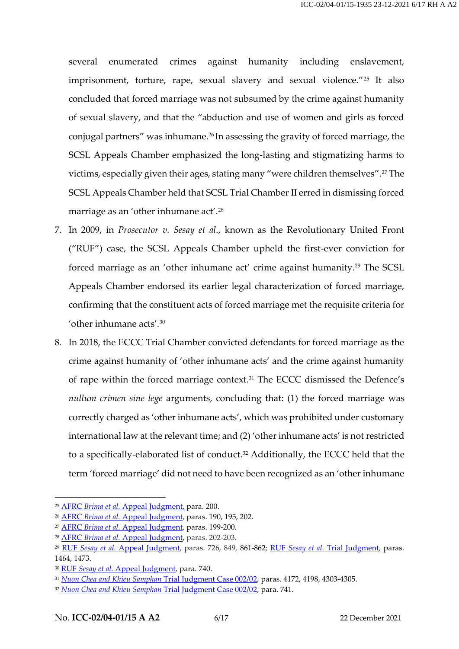several enumerated crimes against humanity including enslavement, imprisonment, torture, rape, sexual slavery and sexual violence."<sup>25</sup> It also concluded that forced marriage was not subsumed by the crime against humanity of sexual slavery, and that the "abduction and use of women and girls as forced conjugal partners" was inhumane. <sup>26</sup> In assessing the gravity of forced marriage, the SCSL Appeals Chamber emphasized the long-lasting and stigmatizing harms to victims, especially given their ages, stating many "were children themselves". <sup>27</sup> The SCSL Appeals Chamber held that SCSL Trial Chamber II erred in dismissing forced marriage as an 'other inhumane act'. 28

- 7. In 2009, in *Prosecutor v. Sesay et al*., known as the Revolutionary United Front ("RUF") case, the SCSL Appeals Chamber upheld the first-ever conviction for forced marriage as an 'other inhumane act' crime against humanity.<sup>29</sup> The SCSL Appeals Chamber endorsed its earlier legal characterization of forced marriage, confirming that the constituent acts of forced marriage met the requisite criteria for 'other inhumane acts'.<sup>30</sup>
- 8. In 2018, the ECCC Trial Chamber convicted defendants for forced marriage as the crime against humanity of 'other inhumane acts' and the crime against humanity of rape within the forced marriage context.<sup>31</sup> The ECCC dismissed the Defence's *nullum crimen sine lege* arguments, concluding that: (1) the forced marriage was correctly charged as 'other inhumane acts', which was prohibited under customary international law at the relevant time; and (2) 'other inhumane acts' is not restricted to a specifically-elaborated list of conduct.<sup>32</sup> Additionally, the ECCC held that the term 'forced marriage' did not need to have been recognized as an 'other inhumane

<sup>25</sup> AFRC *Brima et al.* [Appeal Judgment,](http://www.legal-tools.org/doc/4420ef/) para. 200.

<sup>26</sup> AFRC *Brima et al.* [Appeal Judgment,](http://www.legal-tools.org/doc/4420ef/) paras. 190, 195, 202.

<sup>27</sup> AFRC *Brima et al.* [Appeal Judgment,](http://www.legal-tools.org/doc/4420ef/) paras. 199-200.

<sup>28</sup> AFRC *Brima et al.* [Appeal Judgment,](http://www.legal-tools.org/doc/4420ef/) paras. 202-203.

<sup>29</sup> RUF *Sesay et al.* [Appeal Judgment,](http://www.rscsl.org/Documents/Decisions/RUF/Appeal/1321/RUF%20Appeal%20Judgment.pdf) paras. 726, 849, 861-862; RUF *Sesay et al.* [Trial Judgment,](https://www.legal-tools.org/doc/7f05b7/pdf) paras. 1464, 1473.

<sup>30</sup> RUF *Sesay et al.* [Appeal Judgment,](http://www.rscsl.org/Documents/Decisions/RUF/Appeal/1321/RUF%20Appeal%20Judgment.pdf) para. 740.

<sup>31</sup> *[Nuon Chea and Khieu Samphan](https://www.eccc.gov.kh/en/document/court/case-00202-judgement)* Trial Judgment Case 002/02, paras. 4172, 4198, 4303-4305.

<sup>32</sup> *[Nuon Chea and Khieu Samphan](https://www.eccc.gov.kh/en/document/court/case-00202-judgement)* Trial Judgment Case 002/02, para. 741.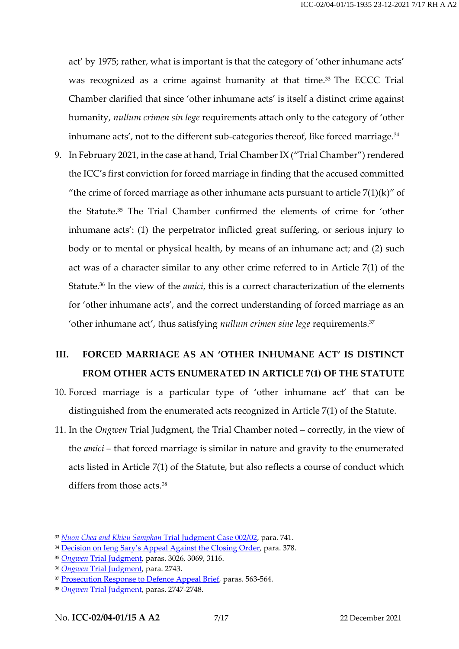act' by 1975; rather, what is important is that the category of 'other inhumane acts' was recognized as a crime against humanity at that time.<sup>33</sup> The ECCC Trial Chamber clarified that since 'other inhumane acts' is itself a distinct crime against humanity, *nullum crimen sin lege* requirements attach only to the category of 'other inhumane acts', not to the different sub-categories thereof, like forced marriage.<sup>34</sup>

9. In February 2021, in the case at hand, Trial Chamber IX ("Trial Chamber") rendered the ICC's first conviction for forced marriage in finding that the accused committed "the crime of forced marriage as other inhumane acts pursuant to article  $7(1)(k)$ " of the Statute. <sup>35</sup> The Trial Chamber confirmed the elements of crime for 'other inhumane acts': (1) the perpetrator inflicted great suffering, or serious injury to body or to mental or physical health, by means of an inhumane act; and (2) such act was of a character similar to any other crime referred to in Article 7(1) of the Statute.<sup>36</sup> In the view of the *amici*, this is a correct characterization of the elements for 'other inhumane acts', and the correct understanding of forced marriage as an 'other inhumane act', thus satisfying *nullum crimen sine lege* requirements.<sup>37</sup>

### **III. FORCED MARRIAGE AS AN 'OTHER INHUMANE ACT' IS DISTINCT FROM OTHER ACTS ENUMERATED IN ARTICLE 7(1) OF THE STATUTE**

- 10. Forced marriage is a particular type of 'other inhumane act' that can be distinguished from the enumerated acts recognized in Article 7(1) of the Statute.
- 11. In the *Ongwen* Trial Judgment, the Trial Chamber noted correctly, in the view of the *amici* – that forced marriage is similar in nature and gravity to the enumerated acts listed in Article 7(1) of the Statute, but also reflects a course of conduct which differs from those acts.<sup>38</sup>

<sup>33</sup> *[Nuon Chea and Khieu Samphan](https://www.eccc.gov.kh/en/document/court/case-00202-judgement)* Trial Judgment Case 002/02, para. 741.

<sup>&</sup>lt;sup>34</sup> [Decision on Ieng Sary](http://www.legal-tools.org/doc/d264ce/)'s Appeal Against the Closing Order, para. 378.

<sup>35</sup> *Ongwen* [Trial Judgment,](https://www.legal-tools.org/doc/kv27ul/) paras. 3026, 3069, 3116.

<sup>36</sup> *Ongwen* [Trial Judgment,](https://www.legal-tools.org/doc/kv27ul/) para. 2743.

<sup>37</sup> [Prosecution Response to Defence Appeal](https://www.legal-tools.org/doc/gd1a6v/pdf) Brief, paras. 563-564.

<sup>38</sup> *Ongwen* [Trial Judgment,](https://www.legal-tools.org/doc/kv27ul/) paras. 2747-2748.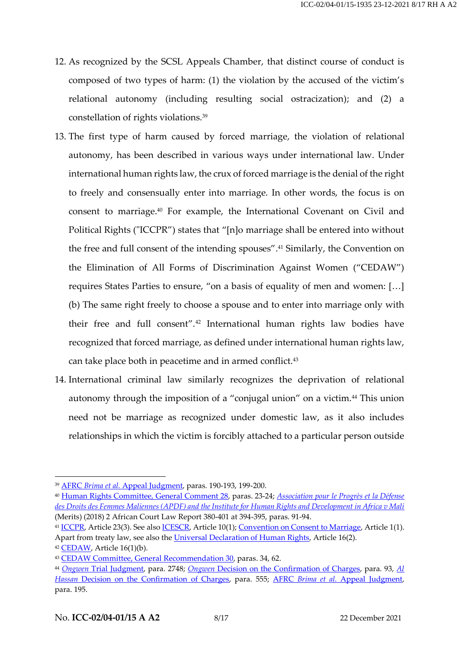- 12. As recognized by the SCSL Appeals Chamber, that distinct course of conduct is composed of two types of harm: (1) the violation by the accused of the victim's relational autonomy (including resulting social ostracization); and (2) a constellation of rights violations.<sup>39</sup>
- 13. The first type of harm caused by forced marriage, the violation of relational autonomy, has been described in various ways under international law. Under international human rights law, the crux of forced marriage is the denial of the right to freely and consensually enter into marriage. In other words, the focus is on consent to marriage.<sup>40</sup> For example, the International Covenant on Civil and Political Rights ("ICCPR") states that "[n]o marriage shall be entered into without the free and full consent of the intending spouses". <sup>41</sup> Similarly, the Convention on the Elimination of All Forms of Discrimination Against Women ("CEDAW") requires States Parties to ensure, "on a basis of equality of men and women: […] (b) The same right freely to choose a spouse and to enter into marriage only with their free and full consent".<sup>42</sup> International human rights law bodies have recognized that forced marriage, as defined under international human rights law, can take place both in peacetime and in armed conflict.<sup>43</sup>
- 14. International criminal law similarly recognizes the deprivation of relational autonomy through the imposition of a "conjugal union" on a victim.<sup>44</sup> This union need not be marriage as recognized under domestic law, as it also includes relationships in which the victim is forcibly attached to a particular person outside

<sup>39</sup> AFRC *Brima et al.* [Appeal Judgment,](https://www.legal-tools.org/doc/4420ef/) paras. 190-193, 199-200.

<sup>40</sup> [Human Rights Committee,](https://www.ohchr.org/EN/Issues/Education/Training/Compilation/Pages/b)GeneralCommentNo28Theequalityofrightsbetweenmenandwomen(article3)(2000).aspx) General Comment 28, paras. 23-24; *[Association pour le Progrès et la Défense](https://www.african-court.org/wpafc/wp-content/uploads/2020/04/African-Court-Law-Report-Volume2-2017-2018.pdf)  [des Droits des Femmes Maliennes \(APDF\) and the Institute for Human Rights and Development in Africa v Mali](https://www.african-court.org/wpafc/wp-content/uploads/2020/04/African-Court-Law-Report-Volume2-2017-2018.pdf)* (Merits) (2018) 2 African Court Law Report 380-401 at 394-395, paras. 91-94.

<sup>&</sup>lt;sup>41</sup> [ICCPR,](https://www.ohchr.org/en/professionalinterest/pages/ccpr.aspx) Article 23(3). See also **ICESCR**, Article 10(1); [Convention on Consent to Marriage,](https://www.ohchr.org/en/professionalinterest/pages/minimumageformarriage.aspx) Article 1(1). Apart from treaty law, see also the [Universal Declaration of Human Rights,](https://www.un.org/en/about-us/universal-declaration-of-human-rights) Article 16(2).

 $42$  [CEDAW,](https://www.ohchr.org/en/professionalinterest/pages/cedaw.aspx) Article 16(1)(b).

<sup>43</sup> [CEDAW Committee, General Recommendation 30,](https://tbinternet.ohchr.org/_layouts/15/treatybodyexternal/Download.aspx?symbolno=CEDAW/C/GC/30&Lang=en) paras. 34, 62.

<sup>44</sup> *Ongwen* [Trial Judgment,](https://www.legal-tools.org/doc/kv27ul/) para. 2748; *Ongwen* [Decision on the Confirmation of Charges,](https://www.legal-tools.org/doc/74fc6e/pdf) para. 93, *[Al](https://www.legal-tools.org/doc/9lml5x/)  Hassan* [Decision on the Confirmation of Charges,](https://www.legal-tools.org/doc/9lml5x/) para. 555; AFRC *Brima et al.* [Appeal Judgment,](https://www.legal-tools.org/doc/4420ef/) para. 195.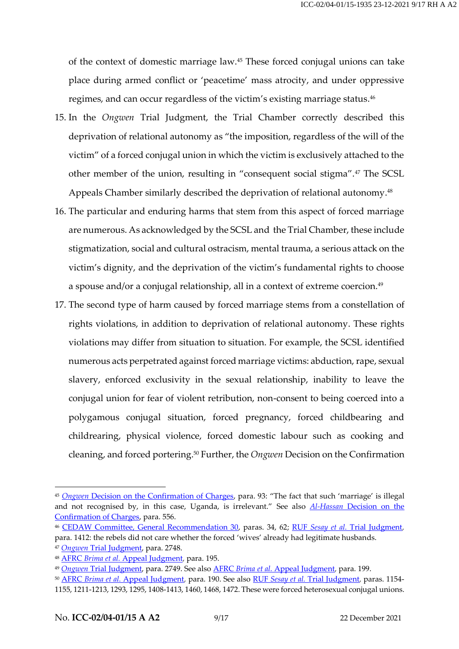of the context of domestic marriage law. <sup>45</sup> These forced conjugal unions can take place during armed conflict or 'peacetime' mass atrocity, and under oppressive regimes, and can occur regardless of the victim's existing marriage status. 46

- 15. In the *Ongwen* Trial Judgment, the Trial Chamber correctly described this deprivation of relational autonomy as "the imposition, regardless of the will of the victim" of a forced conjugal union in which the victim is exclusively attached to the other member of the union, resulting in "consequent social stigma".<sup>47</sup> The SCSL Appeals Chamber similarly described the deprivation of relational autonomy. 48
- 16. The particular and enduring harms that stem from this aspect of forced marriage are numerous. As acknowledged by the SCSL and the Trial Chamber, these include stigmatization, social and cultural ostracism, mental trauma, a serious attack on the victim's dignity, and the deprivation of the victim's fundamental rights to choose a spouse and/or a conjugal relationship, all in a context of extreme coercion. $^{49}$
- 17. The second type of harm caused by forced marriage stems from a constellation of rights violations, in addition to deprivation of relational autonomy. These rights violations may differ from situation to situation. For example, the SCSL identified numerous acts perpetrated against forced marriage victims: abduction, rape, sexual slavery, enforced exclusivity in the sexual relationship, inability to leave the conjugal union for fear of violent retribution, non-consent to being coerced into a polygamous conjugal situation, forced pregnancy, forced childbearing and childrearing, physical violence, forced domestic labour such as cooking and cleaning, and forced portering. <sup>50</sup> Further, the *Ongwen* Decision on the Confirmation

<sup>45</sup> *Ongwen* [Decision on the Confirmation of Charges,](https://www.legal-tools.org/doc/74fc6e/pdf) para. 93: "The fact that such 'marriage' is illegal and not recognised by, in this case, Uganda, is irrelevant." See also *Al-Hassan* [Decision on the](https://www.legal-tools.org/doc/9lml5x/)  [Confirmation of Charges,](https://www.legal-tools.org/doc/9lml5x/) para. 556.

<sup>46</sup> CEDAW [Committee, General Recommendation 30,](https://tbinternet.ohchr.org/_layouts/15/treatybodyexternal/Download.aspx?symbolno=CEDAW/C/GC/30&Lang=en) paras. 34, 62; RUF *Sesay et al.* [Trial Judgment,](https://www.legal-tools.org/doc/7f05b7/) para. 1412: the rebels did not care whether the forced 'wives' already had legitimate husbands.

<sup>47</sup> *Ongwen* [Trial Judgment,](https://www.legal-tools.org/doc/kv27ul/) para. 2748.

<sup>48</sup> AFRC *Brima et al.* [Appeal Judgment,](http://www.legal-tools.org/doc/4420ef/) para. 195.

<sup>49</sup> *Ongwen* [Trial Judgment,](https://www.legal-tools.org/doc/kv27ul/) para. 2749. See also AFRC *Brima et al.* [Appeal Judgment,](http://www.legal-tools.org/doc/4420ef/) para. 199.

<sup>50</sup> AFRC *Brima et al.* [Appeal Judgment,](http://www.legal-tools.org/doc/4420ef/) para. 190. See also RUF *Sesay et al.* [Trial Judgment,](https://www.legal-tools.org/doc/7f05b7/) paras. 1154- 1155, 1211-1213, 1293, 1295, 1408-1413, 1460, 1468, 1472. These were forced heterosexual conjugal unions.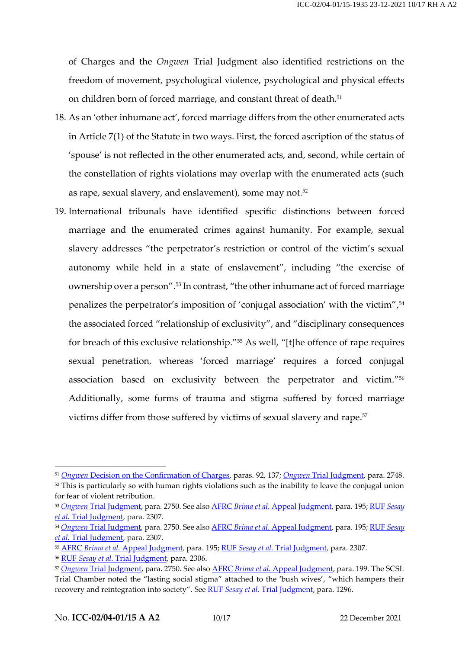of Charges and the *Ongwen* Trial Judgment also identified restrictions on the freedom of movement, psychological violence, psychological and physical effects on children born of forced marriage, and constant threat of death. 51

- 18. As an 'other inhumane act', forced marriage differs from the other enumerated acts in Article 7(1) of the Statute in two ways. First, the forced ascription of the status of 'spouse' is not reflected in the other enumerated acts, and, second, while certain of the constellation of rights violations may overlap with the enumerated acts (such as rape, sexual slavery, and enslavement), some may not. 52
- 19. International tribunals have identified specific distinctions between forced marriage and the enumerated crimes against humanity. For example, sexual slavery addresses "the perpetrator's restriction or control of the victim's sexual autonomy while held in a state of enslavement", including "the exercise of ownership over a person". <sup>53</sup> In contrast, "the other inhumane act of forced marriage penalizes the perpetrator's imposition of 'conjugal association' with the victim", 54 the associated forced "relationship of exclusivity", and "disciplinary consequences for breach of this exclusive relationship."<sup>55</sup> As well, "[t]he offence of rape requires sexual penetration, whereas 'forced marriage' requires a forced conjugal association based on exclusivity between the perpetrator and victim."<sup>56</sup> Additionally, some forms of trauma and stigma suffered by forced marriage victims differ from those suffered by victims of sexual slavery and rape. 57

<sup>51</sup> *Ongwen* [Decision on the Confirmation of Charges,](https://www.legal-tools.org/doc/74fc6e/pdf) paras. 92, 137; *Ongwen* [Trial Judgment,](https://www.legal-tools.org/doc/kv27ul/) para. 2748. <sup>52</sup> This is particularly so with human rights violations such as the inability to leave the conjugal union

for fear of violent retribution.

<sup>53</sup> *Ongwen* [Trial Judgment,](https://www.legal-tools.org/doc/kv27ul/) para. 2750. See also AFRC *Brima et al.* [Appeal Judgment,](http://www.legal-tools.org/doc/4420ef/) para. 195[; RUF](https://www.legal-tools.org/doc/7f05b7/) *Sesay et al.* [Trial Judgment,](https://www.legal-tools.org/doc/7f05b7/) para. 2307.

<sup>54</sup> *Ongwen* [Trial Judgment,](https://www.legal-tools.org/doc/kv27ul/) para. 2750. See also AFRC *Brima et al.* [Appeal Judgment,](http://www.legal-tools.org/doc/4420ef/) para. 195[; RUF](https://www.legal-tools.org/doc/7f05b7/) *Sesay et al.* [Trial Judgment,](https://www.legal-tools.org/doc/7f05b7/) para. 2307.

<sup>55</sup> AFRC *Brima et al.* [Appeal Judgment,](http://www.legal-tools.org/doc/4420ef/) para. 195; RUF *Sesay et al.* [Trial Judgment,](https://www.legal-tools.org/doc/7f05b7/) para. 2307.

<sup>56</sup> RUF *Sesay et al.* [Trial Judgment,](https://www.legal-tools.org/doc/7f05b7/) para. 2306.

<sup>57</sup> *Ongwen* [Trial Judgment,](https://www.legal-tools.org/doc/kv27ul/) para. 2750. See also AFRC *Brima et al.* [Appeal Judgment,](http://www.legal-tools.org/doc/4420ef/) para. 199. The SCSL Trial Chamber noted the "lasting social stigma" attached to the 'bush wives', "which hampers their recovery and reintegration into society". See RUF *Sesay et al.* [Trial Judgment,](https://www.legal-tools.org/doc/7f05b7/) para. 1296.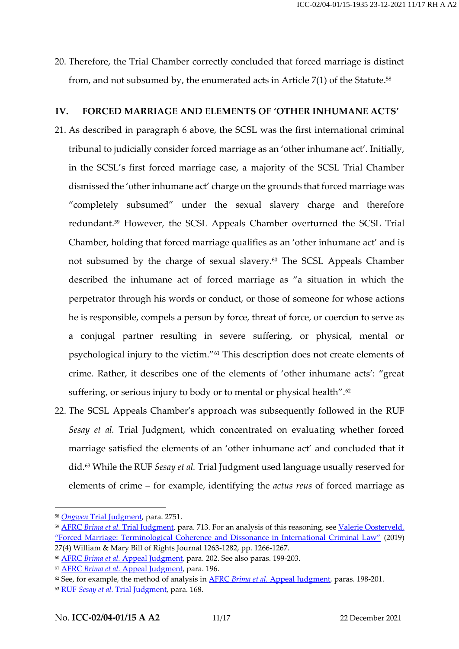20. Therefore, the Trial Chamber correctly concluded that forced marriage is distinct from, and not subsumed by, the enumerated acts in Article  $7(1)$  of the Statute.<sup>58</sup>

#### **IV. FORCED MARRIAGE AND ELEMENTS OF 'OTHER INHUMANE ACTS'**

- 21. As described in paragraph 6 above, the SCSL was the first international criminal tribunal to judicially consider forced marriage as an 'other inhumane act'. Initially, in the SCSL's first forced marriage case, a majority of the SCSL Trial Chamber dismissed the 'other inhumane act' charge on the grounds that forced marriage was "completely subsumed" under the sexual slavery charge and therefore redundant. <sup>59</sup> However, the SCSL Appeals Chamber overturned the SCSL Trial Chamber, holding that forced marriage qualifies as an 'other inhumane act' and is not subsumed by the charge of sexual slavery.<sup>60</sup> The SCSL Appeals Chamber described the inhumane act of forced marriage as "a situation in which the perpetrator through his words or conduct, or those of someone for whose actions he is responsible, compels a person by force, threat of force, or coercion to serve as a conjugal partner resulting in severe suffering, or physical, mental or psychological injury to the victim."<sup>61</sup> This description does not create elements of crime. Rather, it describes one of the elements of 'other inhumane acts': "great suffering, or serious injury to body or to mental or physical health". $62$
- 22. The SCSL Appeals Chamber's approach was subsequently followed in the RUF *Sesay et al.* Trial Judgment, which concentrated on evaluating whether forced marriage satisfied the elements of an 'other inhumane act' and concluded that it did. <sup>63</sup> While the RUF *Sesay et al.* Trial Judgment used language usually reserved for elements of crime – for example, identifying the *actus reus* of forced marriage as

<sup>58</sup> *Ongwen* [Trial Judgment,](https://www.legal-tools.org/doc/kv27ul/) para. 2751.

<sup>59</sup> AFRC *Brima et al.* [Trial Judgment,](http://www.rscsl.org/Documents/Decisions/AFRC/613/SCSL-04-16-T-613s.pdf) para. 713. For an analysis of this reasoning, see [Valerie Oosterveld,](https://scholarship.law.wm.edu/cgi/viewcontent.cgi?article=1910&context=wmborj)  ["Forced Marriage: Terminological Coherence and Dissonance in International Criminal Law"](https://scholarship.law.wm.edu/cgi/viewcontent.cgi?article=1910&context=wmborj) (2019) 27(4) William & Mary Bill of Rights Journal 1263-1282, pp. 1266-1267.

<sup>60</sup> AFRC *Brima et al.* [Appeal Judgment,](http://www.legal-tools.org/doc/4420ef/) para. 202. See also paras. 199-203.

<sup>61</sup> AFRC *Brima et al.* [Appeal Judgment,](http://www.legal-tools.org/doc/4420ef/) para. 196.

<sup>&</sup>lt;sup>62</sup> See, for example, the method of analysis in **AFRC** *Brima et al.* [Appeal Judgment,](http://www.legal-tools.org/doc/4420ef/) paras. 198-201.

<sup>63</sup> RUF *Sesay et al.* [Trial Judgment,](https://www.legal-tools.org/doc/7f05b7/) para. 168.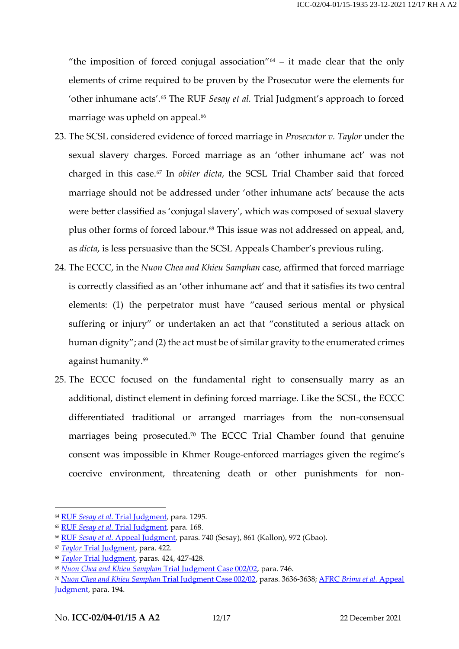"the imposition of forced conjugal association" $64 - it$  made clear that the only elements of crime required to be proven by the Prosecutor were the elements for 'other inhumane acts'.<sup>65</sup> The RUF *Sesay et al.* Trial Judgment's approach to forced marriage was upheld on appeal.<sup>66</sup>

- 23. The SCSL considered evidence of forced marriage in *Prosecutor v. Taylor* under the sexual slavery charges. Forced marriage as an 'other inhumane act' was not charged in this case. <sup>67</sup> In *obiter dicta*, the SCSL Trial Chamber said that forced marriage should not be addressed under 'other inhumane acts' because the acts were better classified as 'conjugal slavery', which was composed of sexual slavery plus other forms of forced labour. <sup>68</sup> This issue was not addressed on appeal, and, as *dicta*, is less persuasive than the SCSL Appeals Chamber's previous ruling.
- 24. The ECCC, in the *Nuon Chea and Khieu Samphan* case, affirmed that forced marriage is correctly classified as an 'other inhumane act' and that it satisfies its two central elements: (1) the perpetrator must have "caused serious mental or physical suffering or injury" or undertaken an act that "constituted a serious attack on human dignity"; and (2) the act must be of similar gravity to the enumerated crimes against humanity. 69
- 25. The ECCC focused on the fundamental right to consensually marry as an additional, distinct element in defining forced marriage. Like the SCSL, the ECCC differentiated traditional or arranged marriages from the non-consensual marriages being prosecuted.<sup>70</sup> The ECCC Trial Chamber found that genuine consent was impossible in Khmer Rouge-enforced marriages given the regime's coercive environment, threatening death or other punishments for non-

<sup>64</sup> RUF *Sesay et al.* [Trial Judgment,](https://www.legal-tools.org/doc/7f05b7/) para. 1295.

<sup>65</sup> RUF *Sesay et al.* [Trial Judgment,](https://www.legal-tools.org/doc/7f05b7/) para. 168.

<sup>66</sup> RUF *Sesay et al.* [Appeal Judgment,](http://www.rscsl.org/Documents/Decisions/RUF/Appeal/1321/RUF%20Appeal%20Judgment.pdf) paras. 740 (Sesay), 861 (Kallon), 972 (Gbao).

<sup>67</sup> *Taylor* [Trial Judgment,](http://www.rscsl.org/Documents/Decisions/Taylor/1283/SCSL-03-01-T-1283.pdf) para. 422.

<sup>68</sup> *Taylor* [Trial Judgment,](http://www.rscsl.org/Documents/Decisions/Taylor/1283/SCSL-03-01-T-1283.pdf) paras. 424, 427-428.

<sup>69</sup> *[Nuon Chea and Khieu Samphan](https://www.eccc.gov.kh/en/document/court/case-00202-judgement)* Trial Judgment Case 002/02, para. 746.

<sup>70</sup> *[Nuon Chea and Khieu Samphan](https://www.eccc.gov.kh/en/document/court/case-00202-judgement)* Trial Judgment Case 002/02, paras. 3636-3638; AFRC *Brima et al.* [Appeal](http://www.legal-tools.org/doc/4420ef/)  [Judgment,](http://www.legal-tools.org/doc/4420ef/) para. 194.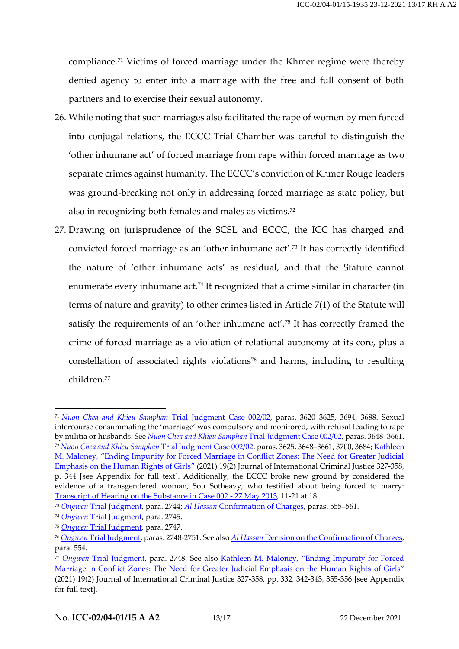compliance.<sup>71</sup> Victims of forced marriage under the Khmer regime were thereby denied agency to enter into a marriage with the free and full consent of both partners and to exercise their sexual autonomy.

- 26. While noting that such marriages also facilitated the rape of women by men forced into conjugal relations, the ECCC Trial Chamber was careful to distinguish the 'other inhumane act' of forced marriage from rape within forced marriage as two separate crimes against humanity. The ECCC's conviction of Khmer Rouge leaders was ground-breaking not only in addressing forced marriage as state policy, but also in recognizing both females and males as victims.<sup>72</sup>
- 27. Drawing on jurisprudence of the SCSL and ECCC, the ICC has charged and convicted forced marriage as an 'other inhumane act'.<sup>73</sup> It has correctly identified the nature of 'other inhumane acts' as residual, and that the Statute cannot enumerate every inhumane act. <sup>74</sup> It recognized that a crime similar in character (in terms of nature and gravity) to other crimes listed in Article 7(1) of the Statute will satisfy the requirements of an 'other inhumane act'.<sup>75</sup> It has correctly framed the crime of forced marriage as a violation of relational autonomy at its core, plus a constellation of associated rights violations<sup>76</sup> and harms, including to resulting children.<sup>77</sup>

<sup>71</sup> *[Nuon Chea and Khieu Samphan](https://www.eccc.gov.kh/en/document/court/case-00202-judgement)* Trial Judgment Case 002/02, paras. 3620–3625, 3694, 3688. Sexual intercourse consummating the 'marriage' was compulsory and monitored, with refusal leading to rape by militia or husbands. See *[Nuon Chea and Khieu Samphan](https://www.eccc.gov.kh/en/document/court/case-00202-judgement)* Trial Judgment Case 002/02, paras. 3648–3661. <sup>72</sup> *[Nuon Chea and Khieu Samphan](https://www.eccc.gov.kh/en/document/court/case-00202-judgement)* Trial Judgment Case 002/02, paras. 3625, 3648–3661, 3700, 3684[; Kathleen](https://academic.oup.com/jicj/article/19/2/327/6319549?guestAccessKey=257585e8-a4aa-4478-8997-00839666f62b)  M. Maloney, "[Ending Impunity for Forced Marriage in Conflict Zones: The Need for Greater Judicial](https://academic.oup.com/jicj/article/19/2/327/6319549?guestAccessKey=257585e8-a4aa-4478-8997-00839666f62b)  [Emphasis on the Human Rights of Girls](https://academic.oup.com/jicj/article/19/2/327/6319549?guestAccessKey=257585e8-a4aa-4478-8997-00839666f62b)" (2021) 19(2) Journal of International Criminal Justice 327-358, p. 344 [see Appendix for full text]. Additionally, the ECCC broke new ground by considered the evidence of a transgendered woman, Sou Sotheavy, who testified about being forced to marry: [Transcript of Hearing on the Substance in Case 002 -](https://www.eccc.gov.kh/en/document/court/transcript-hearing-substance-case-002-27-may-2013) 27 May 2013, 11-21 at 18.

<sup>73</sup> *Ongwen* [Trial Judgment,](https://www.legal-tools.org/doc/kv27ul/) para. 2744; *Al Hassan* [Confirmation of Charges,](https://www.legal-tools.org/doc/9lml5x/) paras. 555–561.

<sup>74</sup> *Ongwen* [Trial Judgment,](https://www.legal-tools.org/doc/kv27ul/) para. 2745.

<sup>75</sup> *Ongwen* [Trial Judgment,](https://www.legal-tools.org/doc/kv27ul/) para. 2747.

<sup>76</sup> *Ongwen* [Trial Judgment,](https://www.legal-tools.org/doc/kv27ul/) paras. 2748-2751. See also *Al Hassan* [Decision on the Confirmation of Charges,](https://www.legal-tools.org/doc/9lml5x/) para. 554.

<sup>77</sup> *Ongwen* [Trial Judgment,](https://www.legal-tools.org/doc/kv27ul/) para. 2748. See also Kathleen M. Maloney, "[Ending Impunity for Forced](https://academic.oup.com/jicj/article/19/2/327/6319549?guestAccessKey=257585e8-a4aa-4478-8997-00839666f62b)  [Marriage in Conflict Zones: The Need for Greater Judicial Emphasis on the Human Rights](https://academic.oup.com/jicj/article/19/2/327/6319549?guestAccessKey=257585e8-a4aa-4478-8997-00839666f62b) of Girls" (2021) 19(2) Journal of International Criminal Justice 327-358, pp. 332, 342-343, 355-356 [see Appendix for full text].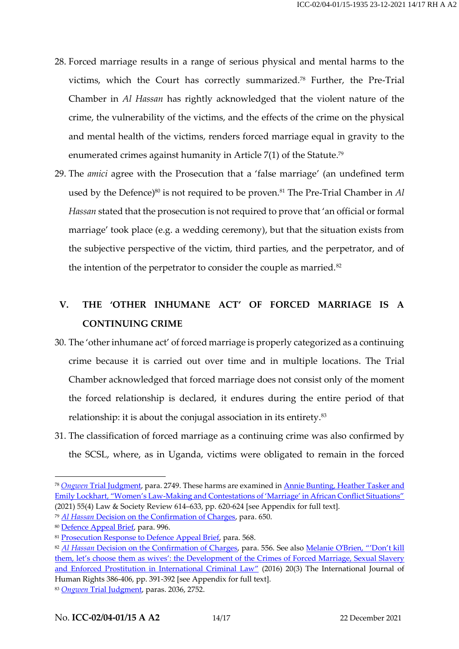- 28. Forced marriage results in a range of serious physical and mental harms to the victims, which the Court has correctly summarized.<sup>78</sup> Further, the Pre-Trial Chamber in *Al Hassan* has rightly acknowledged that the violent nature of the crime, the vulnerability of the victims, and the effects of the crime on the physical and mental health of the victims, renders forced marriage equal in gravity to the enumerated crimes against humanity in Article 7(1) of the Statute. 79
- 29. The *amici* agree with the Prosecution that a 'false marriage' (an undefined term used by the Defence) <sup>80</sup> is not required to be proven.<sup>81</sup> The Pre-Trial Chamber in *Al Hassan* stated that the prosecution is not required to prove that 'an official or formal marriage' took place (e.g. a wedding ceremony), but that the situation exists from the subjective perspective of the victim, third parties, and the perpetrator, and of the intention of the perpetrator to consider the couple as married.<sup>82</sup>

### **V. THE 'OTHER INHUMANE ACT' OF FORCED MARRIAGE IS A CONTINUING CRIME**

- 30. The 'other inhumane act' of forced marriage is properly categorized as a continuing crime because it is carried out over time and in multiple locations. The Trial Chamber acknowledged that forced marriage does not consist only of the moment the forced relationship is declared, it endures during the entire period of that relationship: it is about the conjugal association in its entirety.<sup>83</sup>
- 31. The classification of forced marriage as a continuing crime was also confirmed by the SCSL, where, as in Uganda, victims were obligated to remain in the forced

<sup>78</sup> *Ongwen* [Trial Judgment,](https://www.legal-tools.org/doc/kv27ul/) para. 2749. These harms are examined in [Annie Bunting, Heather Tasker](https://onlinelibrary.wiley.com/doi/10.1111/lasr.12576) and Emily Lockhart, "Women's Law-[Making and Contestations of 'Marriage' in African Conflict Situations"](https://onlinelibrary.wiley.com/doi/10.1111/lasr.12576) (2021) 55(4) Law & Society Review 614–633, pp. 620-624 [see Appendix for full text].

<sup>79</sup> *Al Hassan* [Decision on the Confirmation of Charges,](https://www.legal-tools.org/doc/9lml5x/) para. 650.

<sup>80</sup> [Defence Appeal Brief,](https://www.legal-tools.org/doc/b16rvj/) para. 996.

<sup>&</sup>lt;sup>81</sup> [Prosecution Response to Defence Appeal Brief,](https://www.legal-tools.org/doc/gd1a6v/) para. 568.

<sup>82</sup> *Al Hassan* [Decision on the Confirmation of Charges,](https://www.legal-tools.org/doc/9lml5x/) para. 556. See also [Melanie O'Brien,](https://www.tandfonline.com/doi/full/10.1080/13642987.2015.1091562) "'Don't kill them, let's choose them as wives': the Development of the Crimes of Forced Marriage, Sexual Slavery [and Enforced Prostitution in International Criminal Law](https://www.tandfonline.com/doi/full/10.1080/13642987.2015.1091562)" (2016) 20(3) The International Journal of Human Rights 386-406, pp. 391-392 [see Appendix for full text].

<sup>83</sup> *Ongwen* [Trial Judgment,](https://www.legal-tools.org/doc/kv27ul/) paras. 2036, 2752.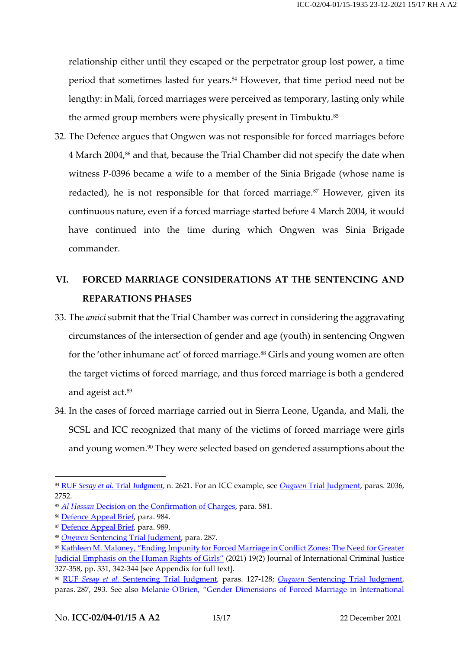relationship either until they escaped or the perpetrator group lost power, a time period that sometimes lasted for years. <sup>84</sup> However, that time period need not be lengthy: in Mali, forced marriages were perceived as temporary, lasting only while the armed group members were physically present in Timbuktu.<sup>85</sup>

32. The Defence argues that Ongwen was not responsible for forced marriages before 4 March 2004, <sup>86</sup> and that, because the Trial Chamber did not specify the date when witness P-0396 became a wife to a member of the Sinia Brigade (whose name is redacted), he is not responsible for that forced marriage.<sup>87</sup> However, given its continuous nature, even if a forced marriage started before 4 March 2004, it would have continued into the time during which Ongwen was Sinia Brigade commander.

### **VI. FORCED MARRIAGE CONSIDERATIONS AT THE SENTENCING AND REPARATIONS PHASES**

- 33. The *amici* submit that the Trial Chamber was correct in considering the aggravating circumstances of the intersection of gender and age (youth) in sentencing Ongwen for the 'other inhumane act' of forced marriage. <sup>88</sup> Girls and young women are often the target victims of forced marriage, and thus forced marriage is both a gendered and ageist act.<sup>89</sup>
- 34. In the cases of forced marriage carried out in Sierra Leone, Uganda, and Mali, the SCSL and ICC recognized that many of the victims of forced marriage were girls and young women.<sup>90</sup> They were selected based on gendered assumptions about the

<sup>84</sup> RUF *Sesay et al.* [Trial Judgment](https://www.legal-tools.org/doc/7f05b7/), n. 2621. For an ICC example, see *Ongwen* [Trial Judgment,](https://www.legal-tools.org/doc/kv27ul/) paras. 2036, 2752.

<sup>85</sup> *Al Hassan* [Decision on the Confirmation of Charges,](https://www.legal-tools.org/doc/9lml5x/) para. 581.

<sup>86</sup> [Defence Appeal Brief,](https://www.legal-tools.org/doc/b16rvj/) para. 984.

<sup>87</sup> [Defence Appeal Brief,](https://www.legal-tools.org/doc/b16rvj/) para. 989.

<sup>88</sup> *Ongwen* [Sentencing Trial Judgment,](https://www.legal-tools.org/doc/vj1y8k/) para. 287.

<sup>89</sup> Kathleen M. Maloney, "[Ending Impunity for Forced Marriage in Conflict Zones: The Need for Greater](https://academic.oup.com/jicj/article/19/2/327/6319549?guestAccessKey=257585e8-a4aa-4478-8997-00839666f62b)  [Judicial Emphasis on the Human Rights of Girls](https://academic.oup.com/jicj/article/19/2/327/6319549?guestAccessKey=257585e8-a4aa-4478-8997-00839666f62b)" (2021) 19(2) Journal of International Criminal Justice 327-358, pp. 331, 342-344 [see Appendix for full text].

<sup>90</sup> RUF *[Sesay et al.](http://www.rscsl.org/Documents/Decisions/RUF/1251/SCSL-04-15-T-1251.pdf)* Sentencing Trial Judgment, paras. 127-128; *Ongwen* [Sentencing Trial Judgment,](https://www.legal-tools.org/doc/vj1y8k/) paras. 287, 293. See also Melanie O'Brien, "[Gender Dimensions of Forced Marriage in International](https://papers.ssrn.com/sol3/papers.cfm?abstract_id=3973235)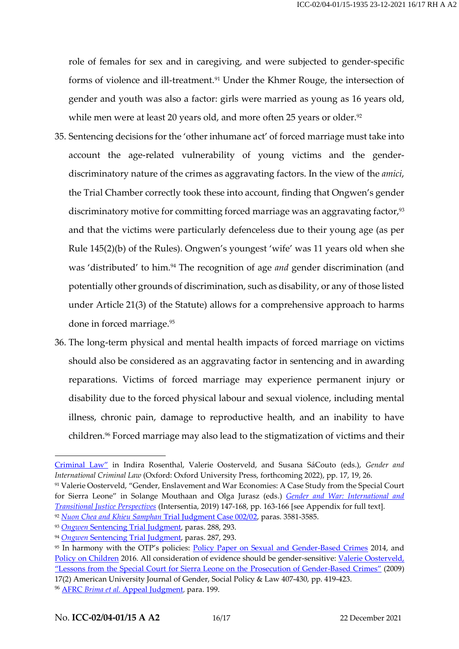role of females for sex and in caregiving, and were subjected to gender-specific forms of violence and ill-treatment.<sup>91</sup> Under the Khmer Rouge, the intersection of gender and youth was also a factor: girls were married as young as 16 years old, while men were at least 20 years old, and more often 25 years or older.<sup>92</sup>

- 35. Sentencing decisions for the 'other inhumane act' of forced marriage must take into account the age-related vulnerability of young victims and the genderdiscriminatory nature of the crimes as aggravating factors. In the view of the *amici*, the Trial Chamber correctly took these into account, finding that Ongwen's gender discriminatory motive for committing forced marriage was an aggravating factor,<sup>93</sup> and that the victims were particularly defenceless due to their young age (as per Rule 145(2)(b) of the Rules). Ongwen's youngest 'wife' was 11 years old when she was 'distributed' to him.<sup>94</sup> The recognition of age *and* gender discrimination (and potentially other grounds of discrimination, such as disability, or any of those listed under Article 21(3) of the Statute) allows for a comprehensive approach to harms done in forced marriage.<sup>95</sup>
- 36. The long-term physical and mental health impacts of forced marriage on victims should also be considered as an aggravating factor in sentencing and in awarding reparations. Victims of forced marriage may experience permanent injury or disability due to the forced physical labour and sexual violence, including mental illness, chronic pain, damage to reproductive health, and an inability to have children. <sup>96</sup> Forced marriage may also lead to the stigmatization of victims and their

[Criminal Law](https://papers.ssrn.com/sol3/papers.cfm?abstract_id=3973235)" in Indira Rosenthal, Valerie Oosterveld, and Susana SáCouto (eds.), *Gender and International Criminal Law* (Oxford: Oxford University Press, forthcoming 2022), pp. 17, 19, 26.

<sup>91</sup> Valerie Oosterveld, "Gender, Enslavement and War Economies: A Case Study from the Special Court for Sierra Leone" in Solange Mouthaan and Olga Jurasz (eds.) *[Gender and War: International and](https://intersentia.com/en/pdf/viewer/download/id/9781780686868_0/)  [Transitional Justice Perspectives](https://intersentia.com/en/pdf/viewer/download/id/9781780686868_0/)* (Intersentia, 2019) 147-168, pp. 163-166 [see Appendix for full text].

<sup>92</sup> *[Nuon Chea and Khieu Samphan](https://www.eccc.gov.kh/en/document/court/case-00202-judgement)* Trial Judgment Case 002/02, paras. 3581-3585.

<sup>93</sup> *Ongwen* [Sentencing Trial Judgment,](https://www.legal-tools.org/doc/vj1y8k/) paras. 288, 293.

<sup>94</sup> *Ongwen* [Sentencing Trial Judgment,](https://www.legal-tools.org/doc/vj1y8k/) paras. 287, 293.

<sup>&</sup>lt;sup>95</sup> In harmony with the OTP's policies: [Policy Paper on Sexual and Gender-Based Crimes](https://www.legal-tools.org/doc/7ede6c/) 2014, and [Policy on Children](https://www.legal-tools.org/doc/c2652b/) 2016. All consideration of evidence should be gender-sensitive: [Valerie Oosterveld,](https://digitalcommons.wcl.american.edu/jgspl/vol17/iss2/5/)  "[Lessons from the Special Court for Sierra Leone on the Prosecution of Gender-Based Crimes](https://digitalcommons.wcl.american.edu/jgspl/vol17/iss2/5/)" (2009) 17(2) American University Journal of Gender, Social Policy & Law 407-430, pp. 419-423.

<sup>96</sup> AFRC *Brima et al.* [Appeal Judgment,](http://www.legal-tools.org/doc/4420ef/) para. 199.